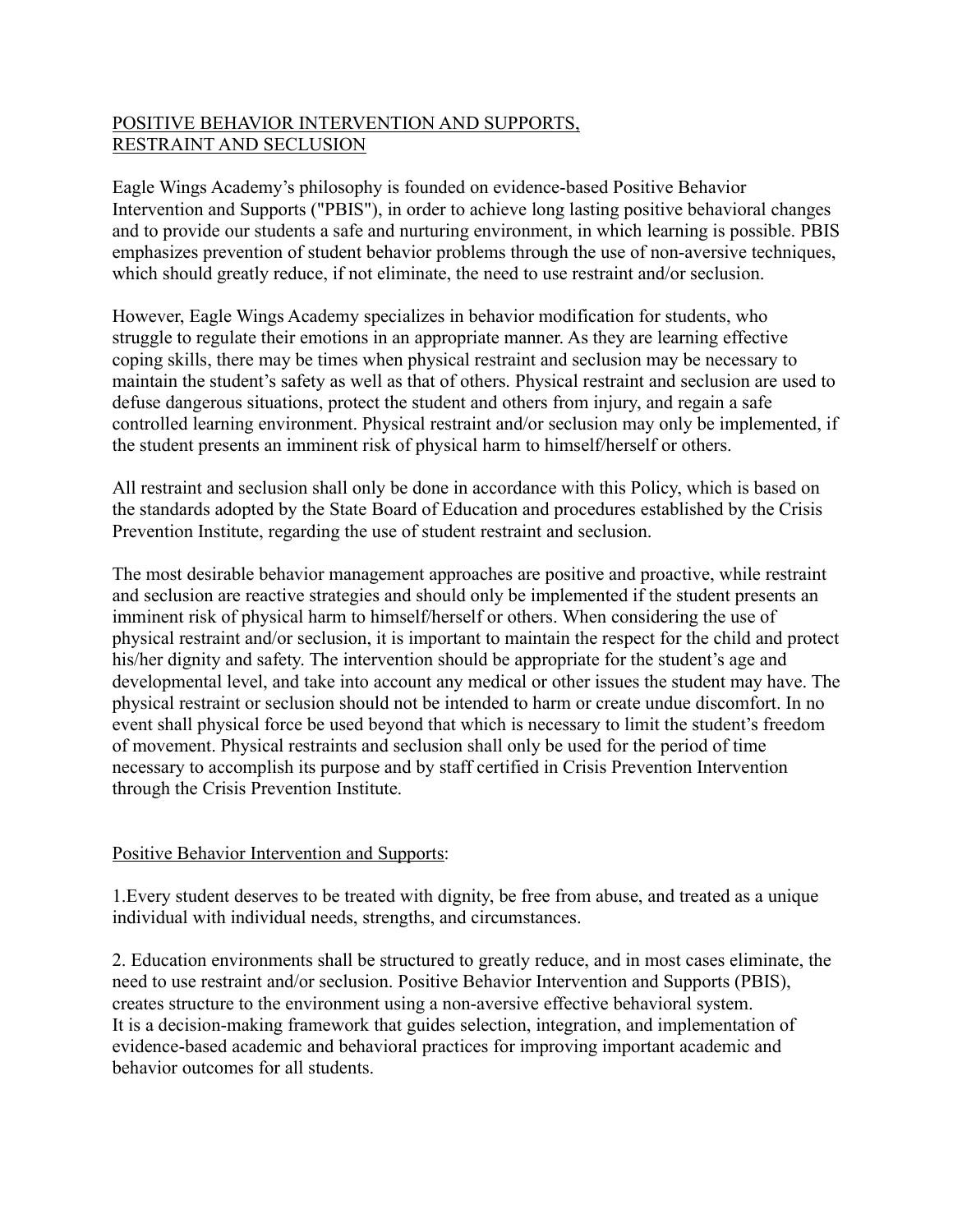# POSITIVE BEHAVIOR INTERVENTION AND SUPPORTS, RESTRAINT AND SECLUSION

Eagle Wings Academy's philosophy is founded on evidence-based Positive Behavior Intervention and Supports ("PBIS"), in order to achieve long lasting positive behavioral changes and to provide our students a safe and nurturing environment, in which learning is possible. PBIS emphasizes prevention of student behavior problems through the use of non-aversive techniques, which should greatly reduce, if not eliminate, the need to use restraint and/or seclusion.

However, Eagle Wings Academy specializes in behavior modification for students, who struggle to regulate their emotions in an appropriate manner. As they are learning effective coping skills, there may be times when physical restraint and seclusion may be necessary to maintain the student's safety as well as that of others. Physical restraint and seclusion are used to defuse dangerous situations, protect the student and others from injury, and regain a safe controlled learning environment. Physical restraint and/or seclusion may only be implemented, if the student presents an imminent risk of physical harm to himself/herself or others.

All restraint and seclusion shall only be done in accordance with this Policy, which is based on the standards adopted by the State Board of Education and procedures established by the Crisis Prevention Institute, regarding the use of student restraint and seclusion.

The most desirable behavior management approaches are positive and proactive, while restraint and seclusion are reactive strategies and should only be implemented if the student presents an imminent risk of physical harm to himself/herself or others. When considering the use of physical restraint and/or seclusion, it is important to maintain the respect for the child and protect his/her dignity and safety. The intervention should be appropriate for the student's age and developmental level, and take into account any medical or other issues the student may have. The physical restraint or seclusion should not be intended to harm or create undue discomfort. In no event shall physical force be used beyond that which is necessary to limit the student's freedom of movement. Physical restraints and seclusion shall only be used for the period of time necessary to accomplish its purpose and by staff certified in Crisis Prevention Intervention through the Crisis Prevention Institute.

# Positive Behavior Intervention and Supports:

1.Every student deserves to be treated with dignity, be free from abuse, and treated as a unique individual with individual needs, strengths, and circumstances.

2. Education environments shall be structured to greatly reduce, and in most cases eliminate, the need to use restraint and/or seclusion. Positive Behavior Intervention and Supports (PBIS), creates structure to the environment using a non-aversive effective behavioral system. It is a decision-making framework that guides selection, integration, and implementation of evidence-based academic and behavioral practices for improving important academic and behavior outcomes for all students.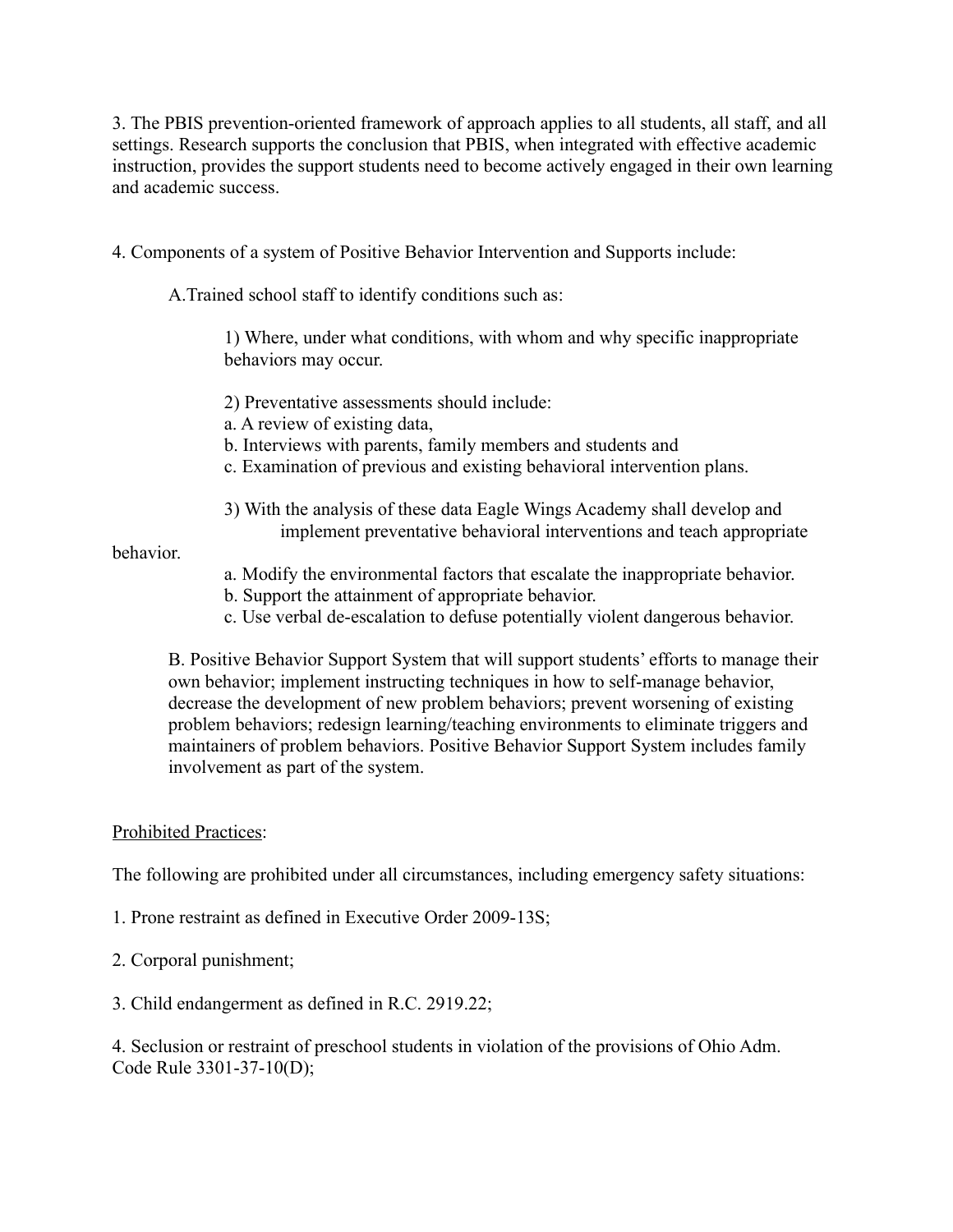3. The PBIS prevention-oriented framework of approach applies to all students, all staff, and all settings. Research supports the conclusion that PBIS, when integrated with effective academic instruction, provides the support students need to become actively engaged in their own learning and academic success.

4. Components of a system of Positive Behavior Intervention and Supports include:

A.Trained school staff to identify conditions such as:

1) Where, under what conditions, with whom and why specific inappropriate behaviors may occur.

2) Preventative assessments should include:

a. A review of existing data,

b. Interviews with parents, family members and students and

- c. Examination of previous and existing behavioral intervention plans.
- 3) With the analysis of these data Eagle Wings Academy shall develop and implement preventative behavioral interventions and teach appropriate

behavior.

- a. Modify the environmental factors that escalate the inappropriate behavior.
- b. Support the attainment of appropriate behavior.
- c. Use verbal de-escalation to defuse potentially violent dangerous behavior.

B. Positive Behavior Support System that will support students' efforts to manage their own behavior; implement instructing techniques in how to self-manage behavior, decrease the development of new problem behaviors; prevent worsening of existing problem behaviors; redesign learning/teaching environments to eliminate triggers and maintainers of problem behaviors. Positive Behavior Support System includes family involvement as part of the system.

### Prohibited Practices:

The following are prohibited under all circumstances, including emergency safety situations:

- 1. Prone restraint as defined in Executive Order 2009-13S;
- 2. Corporal punishment;
- 3. Child endangerment as defined in R.C. 2919.22;

4. Seclusion or restraint of preschool students in violation of the provisions of Ohio Adm. Code Rule 3301-37-10(D);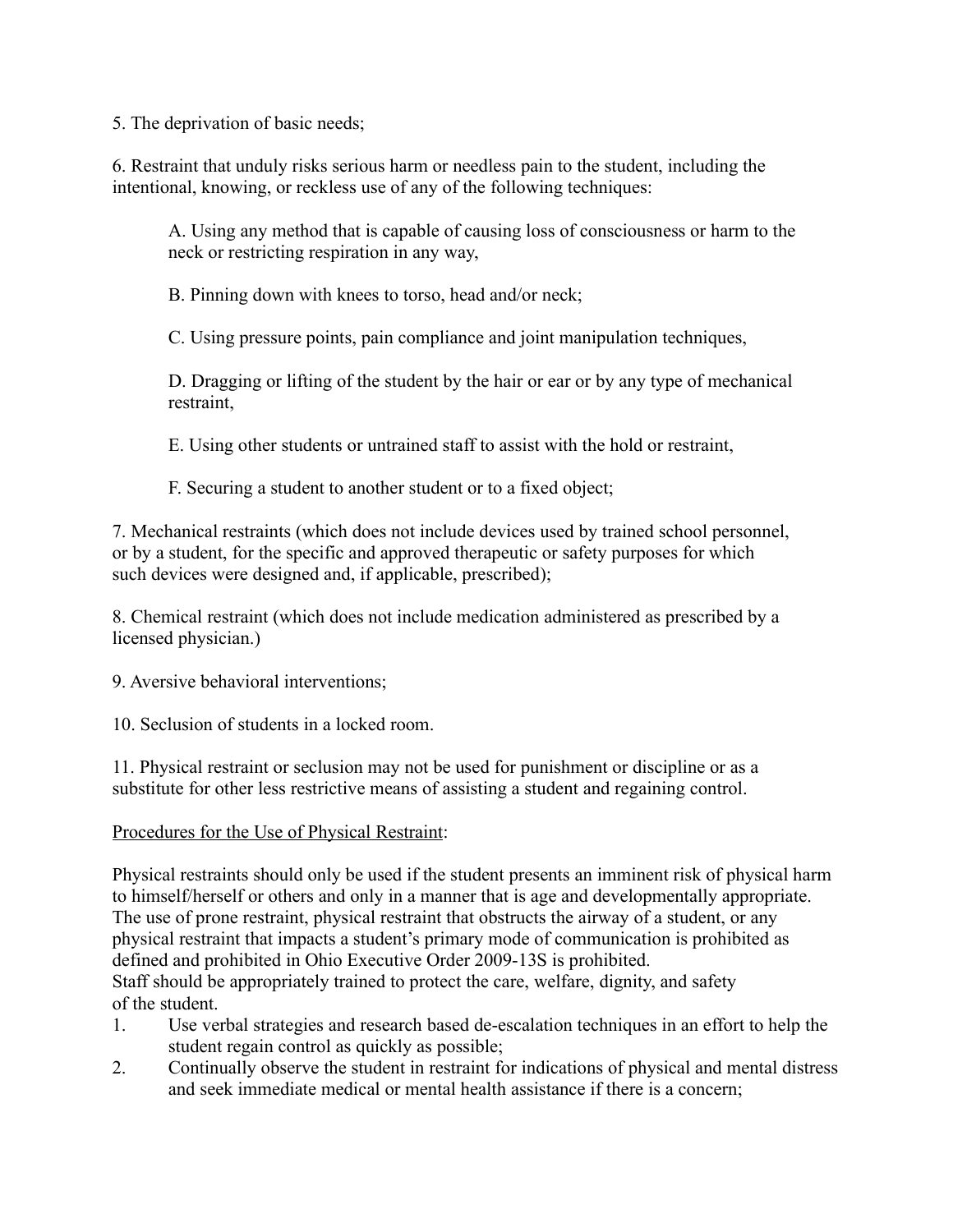5. The deprivation of basic needs;

6. Restraint that unduly risks serious harm or needless pain to the student, including the intentional, knowing, or reckless use of any of the following techniques:

A. Using any method that is capable of causing loss of consciousness or harm to the neck or restricting respiration in any way,

B. Pinning down with knees to torso, head and/or neck;

C. Using pressure points, pain compliance and joint manipulation techniques,

D. Dragging or lifting of the student by the hair or ear or by any type of mechanical restraint,

E. Using other students or untrained staff to assist with the hold or restraint,

F. Securing a student to another student or to a fixed object;

7. Mechanical restraints (which does not include devices used by trained school personnel, or by a student, for the specific and approved therapeutic or safety purposes for which such devices were designed and, if applicable, prescribed);

8. Chemical restraint (which does not include medication administered as prescribed by a licensed physician.)

9. Aversive behavioral interventions;

10. Seclusion of students in a locked room.

11. Physical restraint or seclusion may not be used for punishment or discipline or as a substitute for other less restrictive means of assisting a student and regaining control.

### Procedures for the Use of Physical Restraint:

Physical restraints should only be used if the student presents an imminent risk of physical harm to himself/herself or others and only in a manner that is age and developmentally appropriate. The use of prone restraint, physical restraint that obstructs the airway of a student, or any physical restraint that impacts a student's primary mode of communication is prohibited as defined and prohibited in Ohio Executive Order 2009-13S is prohibited. Staff should be appropriately trained to protect the care, welfare, dignity, and safety of the student.

- 1. Use verbal strategies and research based de-escalation techniques in an effort to help the student regain control as quickly as possible;
- 2. Continually observe the student in restraint for indications of physical and mental distress and seek immediate medical or mental health assistance if there is a concern;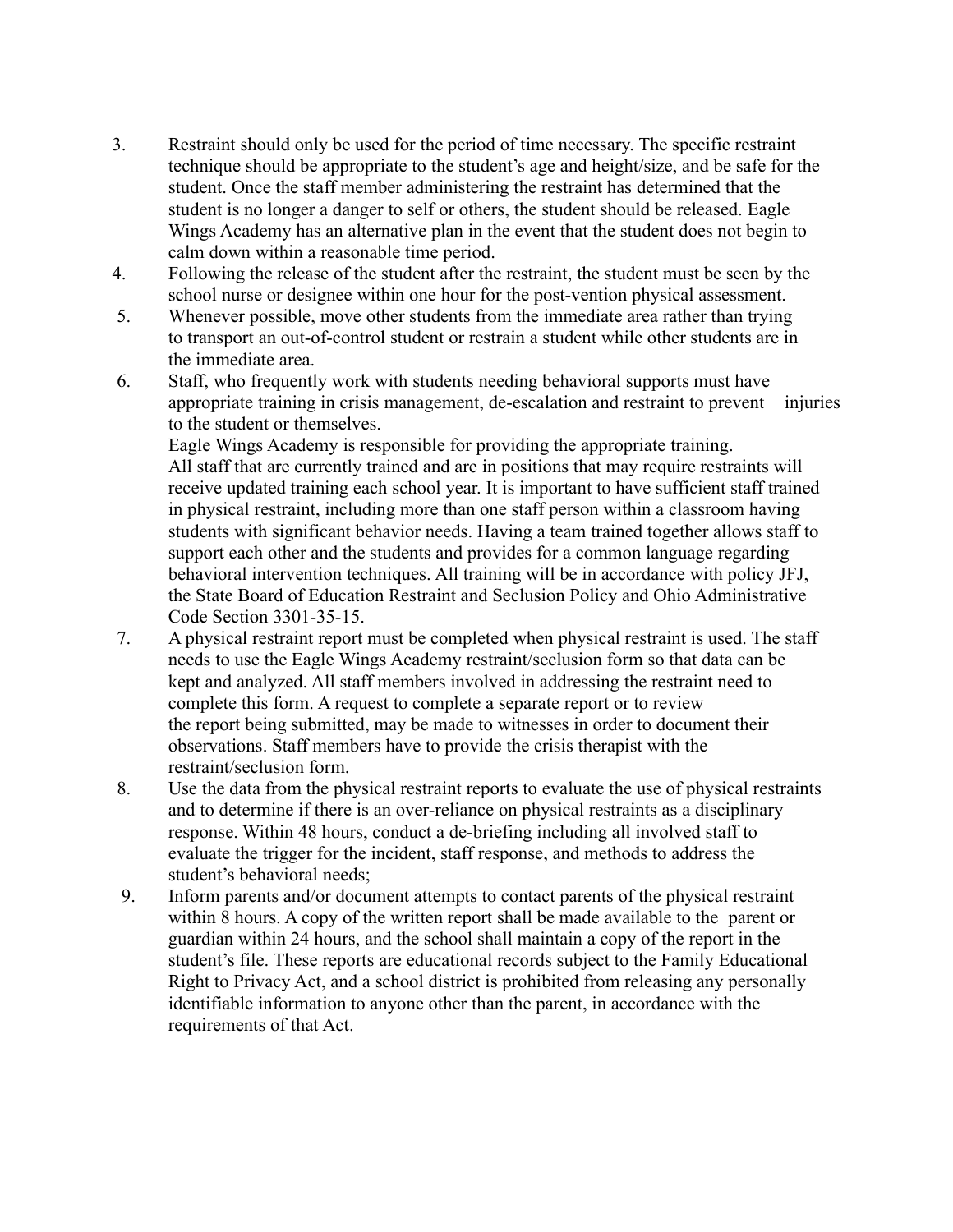- 3. Restraint should only be used for the period of time necessary. The specific restraint technique should be appropriate to the student's age and height/size, and be safe for the student. Once the staff member administering the restraint has determined that the student is no longer a danger to self or others, the student should be released. Eagle Wings Academy has an alternative plan in the event that the student does not begin to calm down within a reasonable time period.
- 4. Following the release of the student after the restraint, the student must be seen by the school nurse or designee within one hour for the post-vention physical assessment.
- 5. Whenever possible, move other students from the immediate area rather than trying to transport an out-of-control student or restrain a student while other students are in the immediate area.
- 6. Staff, who frequently work with students needing behavioral supports must have appropriate training in crisis management, de-escalation and restraint to prevent injuries to the student or themselves.

Eagle Wings Academy is responsible for providing the appropriate training. All staff that are currently trained and are in positions that may require restraints will receive updated training each school year. It is important to have sufficient staff trained in physical restraint, including more than one staff person within a classroom having students with significant behavior needs. Having a team trained together allows staff to support each other and the students and provides for a common language regarding behavioral intervention techniques. All training will be in accordance with policy JFJ, the State Board of Education Restraint and Seclusion Policy and Ohio Administrative Code Section 3301-35-15.

- 7. A physical restraint report must be completed when physical restraint is used. The staff needs to use the Eagle Wings Academy restraint/seclusion form so that data can be kept and analyzed. All staff members involved in addressing the restraint need to complete this form. A request to complete a separate report or to review the report being submitted, may be made to witnesses in order to document their observations. Staff members have to provide the crisis therapist with the restraint/seclusion form.
- 8. Use the data from the physical restraint reports to evaluate the use of physical restraints and to determine if there is an over-reliance on physical restraints as a disciplinary response. Within 48 hours, conduct a de-briefing including all involved staff to evaluate the trigger for the incident, staff response, and methods to address the student's behavioral needs;
- 9. Inform parents and/or document attempts to contact parents of the physical restraint within 8 hours. A copy of the written report shall be made available to the parent or guardian within 24 hours, and the school shall maintain a copy of the report in the student's file. These reports are educational records subject to the Family Educational Right to Privacy Act, and a school district is prohibited from releasing any personally identifiable information to anyone other than the parent, in accordance with the requirements of that Act.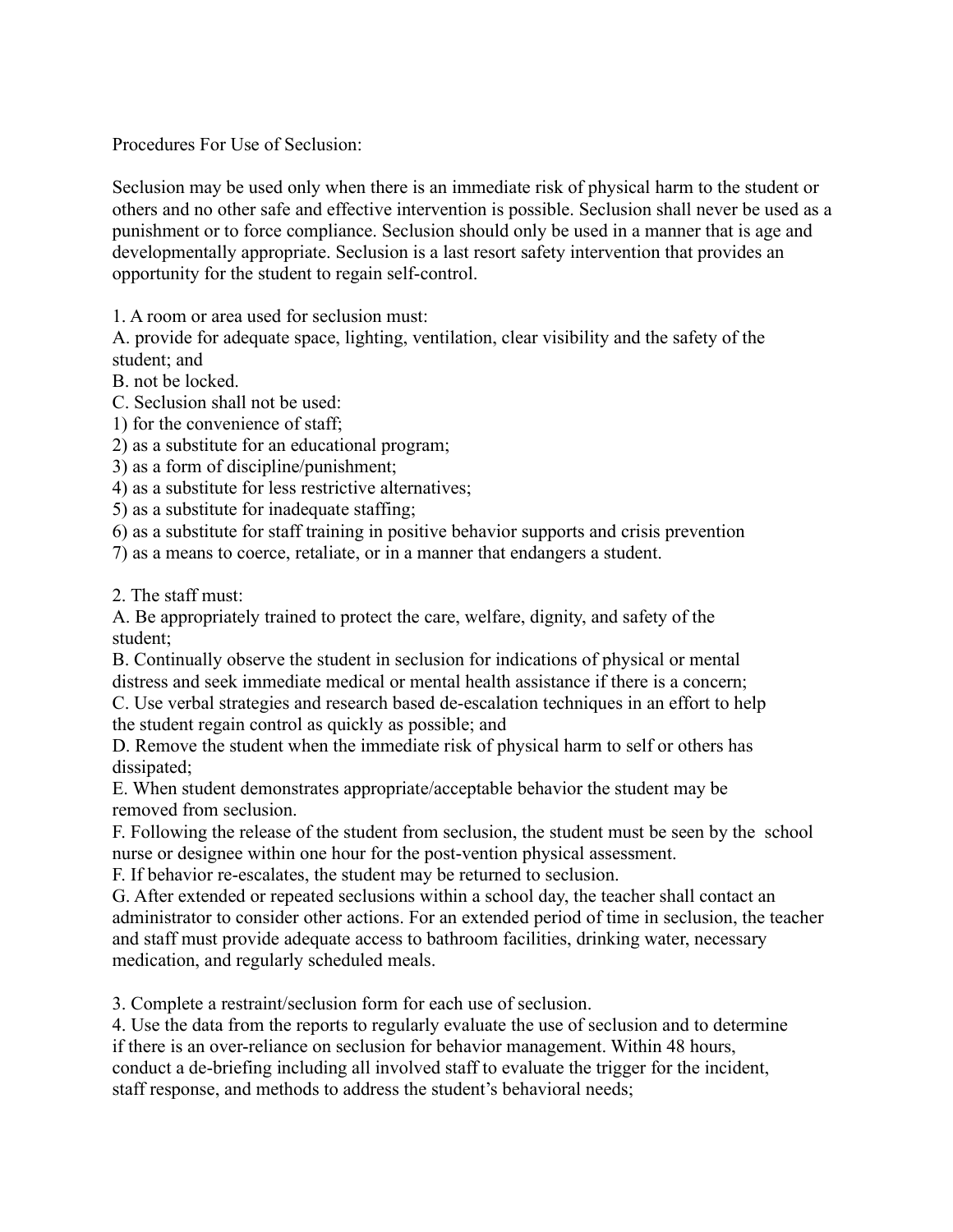Procedures For Use of Seclusion:

Seclusion may be used only when there is an immediate risk of physical harm to the student or others and no other safe and effective intervention is possible. Seclusion shall never be used as a punishment or to force compliance. Seclusion should only be used in a manner that is age and developmentally appropriate. Seclusion is a last resort safety intervention that provides an opportunity for the student to regain self-control.

1. A room or area used for seclusion must:

A. provide for adequate space, lighting, ventilation, clear visibility and the safety of the student; and

- B. not be locked.
- C. Seclusion shall not be used:
- 1) for the convenience of staff;
- 2) as a substitute for an educational program;
- 3) as a form of discipline/punishment;
- 4) as a substitute for less restrictive alternatives;
- 5) as a substitute for inadequate staffing;
- 6) as a substitute for staff training in positive behavior supports and crisis prevention
- 7) as a means to coerce, retaliate, or in a manner that endangers a student.

2. The staff must:

A. Be appropriately trained to protect the care, welfare, dignity, and safety of the student;

B. Continually observe the student in seclusion for indications of physical or mental distress and seek immediate medical or mental health assistance if there is a concern;

C. Use verbal strategies and research based de-escalation techniques in an effort to help the student regain control as quickly as possible; and

D. Remove the student when the immediate risk of physical harm to self or others has dissipated;

E. When student demonstrates appropriate/acceptable behavior the student may be removed from seclusion.

F. Following the release of the student from seclusion, the student must be seen by the school nurse or designee within one hour for the post-vention physical assessment.

F. If behavior re-escalates, the student may be returned to seclusion.

G. After extended or repeated seclusions within a school day, the teacher shall contact an administrator to consider other actions. For an extended period of time in seclusion, the teacher and staff must provide adequate access to bathroom facilities, drinking water, necessary medication, and regularly scheduled meals.

3. Complete a restraint/seclusion form for each use of seclusion.

4. Use the data from the reports to regularly evaluate the use of seclusion and to determine if there is an over-reliance on seclusion for behavior management. Within 48 hours, conduct a de-briefing including all involved staff to evaluate the trigger for the incident, staff response, and methods to address the student's behavioral needs;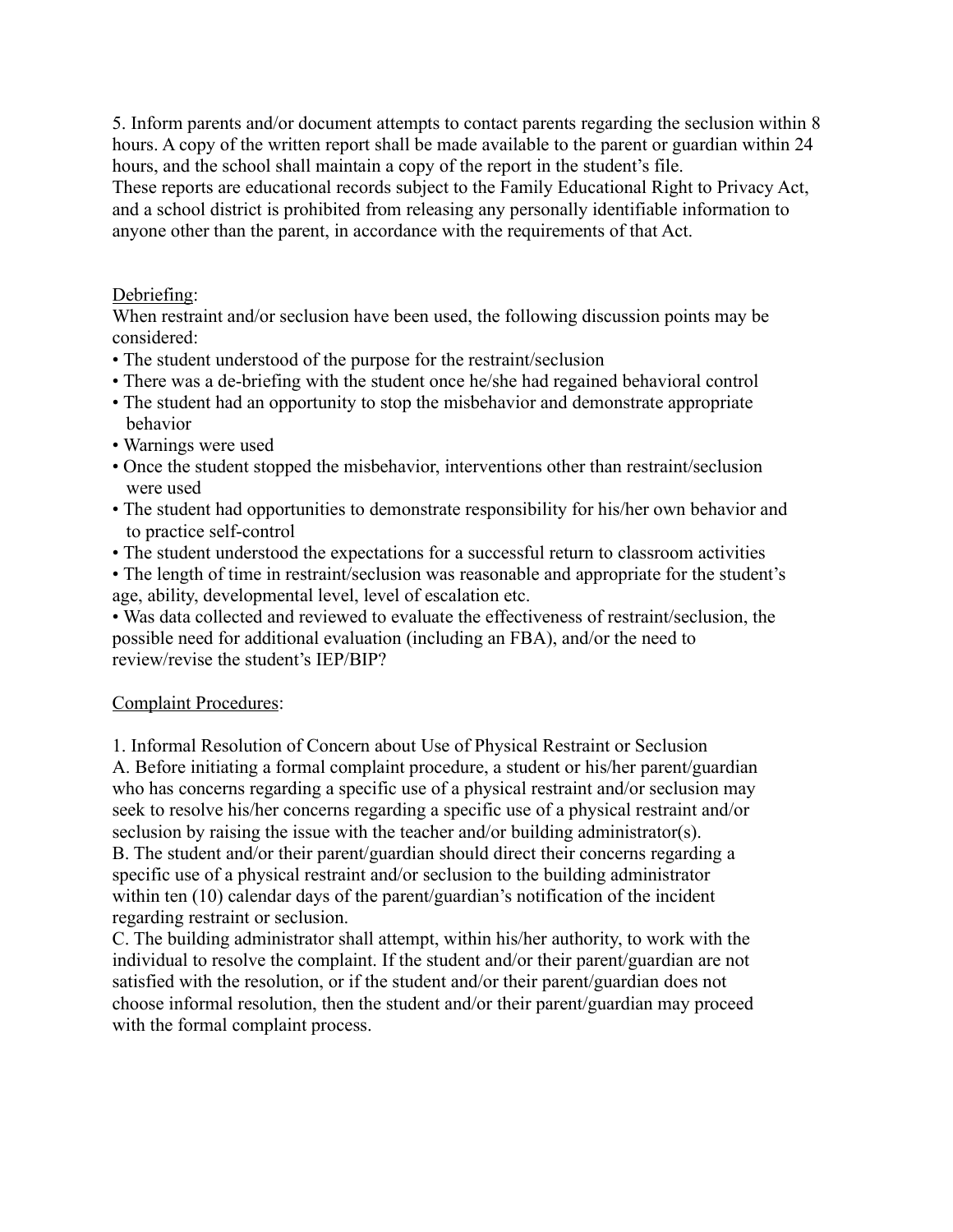5. Inform parents and/or document attempts to contact parents regarding the seclusion within 8 hours. A copy of the written report shall be made available to the parent or guardian within 24 hours, and the school shall maintain a copy of the report in the student's file.

These reports are educational records subject to the Family Educational Right to Privacy Act, and a school district is prohibited from releasing any personally identifiable information to anyone other than the parent, in accordance with the requirements of that Act.

## Debriefing:

When restraint and/or seclusion have been used, the following discussion points may be considered:

- The student understood of the purpose for the restraint/seclusion
- There was a de-briefing with the student once he/she had regained behavioral control
- The student had an opportunity to stop the misbehavior and demonstrate appropriate behavior
- Warnings were used
- Once the student stopped the misbehavior, interventions other than restraint/seclusion were used
- The student had opportunities to demonstrate responsibility for his/her own behavior and to practice self-control
- The student understood the expectations for a successful return to classroom activities
- The length of time in restraint/seclusion was reasonable and appropriate for the student's age, ability, developmental level, level of escalation etc.

• Was data collected and reviewed to evaluate the effectiveness of restraint/seclusion, the possible need for additional evaluation (including an FBA), and/or the need to review/revise the student's IEP/BIP?

### Complaint Procedures:

1. Informal Resolution of Concern about Use of Physical Restraint or Seclusion A. Before initiating a formal complaint procedure, a student or his/her parent/guardian who has concerns regarding a specific use of a physical restraint and/or seclusion may seek to resolve his/her concerns regarding a specific use of a physical restraint and/or seclusion by raising the issue with the teacher and/or building administrator(s). B. The student and/or their parent/guardian should direct their concerns regarding a specific use of a physical restraint and/or seclusion to the building administrator within ten (10) calendar days of the parent/guardian's notification of the incident regarding restraint or seclusion.

C. The building administrator shall attempt, within his/her authority, to work with the individual to resolve the complaint. If the student and/or their parent/guardian are not satisfied with the resolution, or if the student and/or their parent/guardian does not choose informal resolution, then the student and/or their parent/guardian may proceed with the formal complaint process.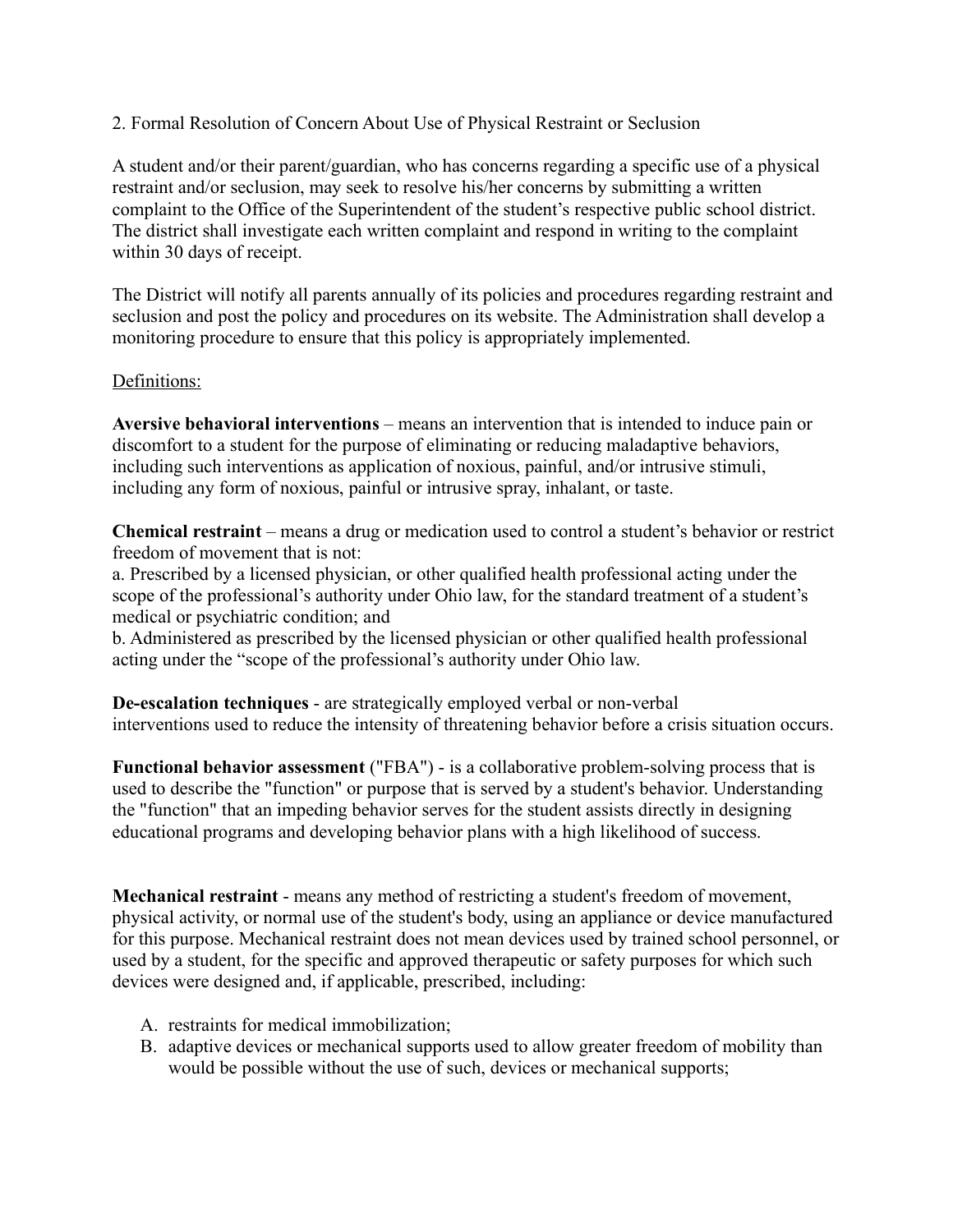2. Formal Resolution of Concern About Use of Physical Restraint or Seclusion

A student and/or their parent/guardian, who has concerns regarding a specific use of a physical restraint and/or seclusion, may seek to resolve his/her concerns by submitting a written complaint to the Office of the Superintendent of the student's respective public school district. The district shall investigate each written complaint and respond in writing to the complaint within 30 days of receipt.

The District will notify all parents annually of its policies and procedures regarding restraint and seclusion and post the policy and procedures on its website. The Administration shall develop a monitoring procedure to ensure that this policy is appropriately implemented.

## Definitions:

**Aversive behavioral interventions** – means an intervention that is intended to induce pain or discomfort to a student for the purpose of eliminating or reducing maladaptive behaviors, including such interventions as application of noxious, painful, and/or intrusive stimuli, including any form of noxious, painful or intrusive spray, inhalant, or taste.

**Chemical restraint** – means a drug or medication used to control a student's behavior or restrict freedom of movement that is not:

a. Prescribed by a licensed physician, or other qualified health professional acting under the scope of the professional's authority under Ohio law, for the standard treatment of a student's medical or psychiatric condition; and

b. Administered as prescribed by the licensed physician or other qualified health professional acting under the "scope of the professional's authority under Ohio law.

**De-escalation techniques** - are strategically employed verbal or non-verbal interventions used to reduce the intensity of threatening behavior before a crisis situation occurs.

**Functional behavior assessment** ("FBA") - is a collaborative problem-solving process that is used to describe the "function" or purpose that is served by a student's behavior. Understanding the "function" that an impeding behavior serves for the student assists directly in designing educational programs and developing behavior plans with a high likelihood of success.

**Mechanical restraint** - means any method of restricting a student's freedom of movement, physical activity, or normal use of the student's body, using an appliance or device manufactured for this purpose. Mechanical restraint does not mean devices used by trained school personnel, or used by a student, for the specific and approved therapeutic or safety purposes for which such devices were designed and, if applicable, prescribed, including:

- A. restraints for medical immobilization;
- B. adaptive devices or mechanical supports used to allow greater freedom of mobility than would be possible without the use of such, devices or mechanical supports;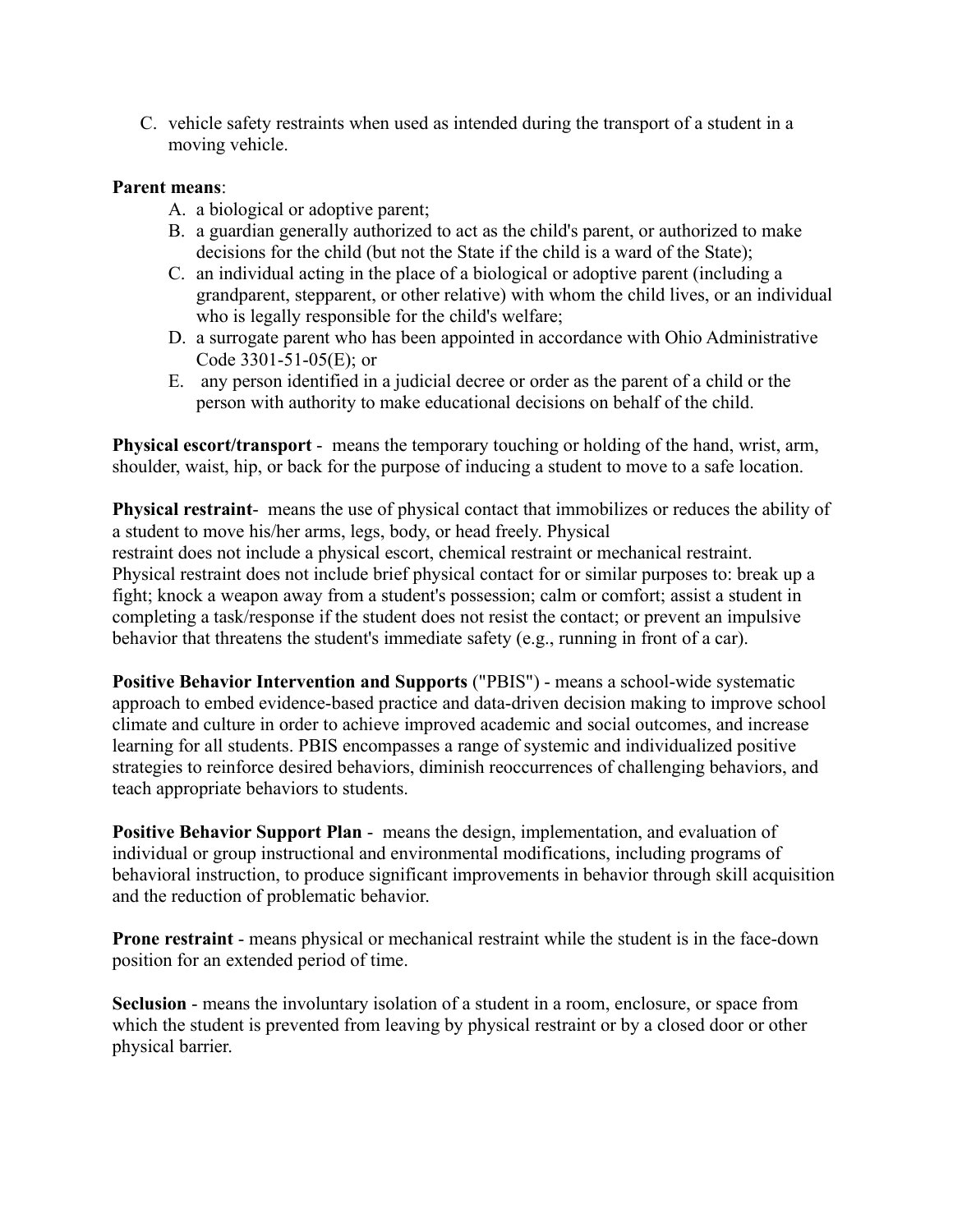C. vehicle safety restraints when used as intended during the transport of a student in a moving vehicle.

### **Parent means**:

- A. a biological or adoptive parent;
- B. a guardian generally authorized to act as the child's parent, or authorized to make decisions for the child (but not the State if the child is a ward of the State);
- C. an individual acting in the place of a biological or adoptive parent (including a grandparent, stepparent, or other relative) with whom the child lives, or an individual who is legally responsible for the child's welfare;
- D. a surrogate parent who has been appointed in accordance with Ohio Administrative Code 3301-51-05(E); or
- E. any person identified in a judicial decree or order as the parent of a child or the person with authority to make educational decisions on behalf of the child.

**Physical escort/transport** - means the temporary touching or holding of the hand, wrist, arm, shoulder, waist, hip, or back for the purpose of inducing a student to move to a safe location.

**Physical restraint**- means the use of physical contact that immobilizes or reduces the ability of a student to move his/her arms, legs, body, or head freely. Physical restraint does not include a physical escort, chemical restraint or mechanical restraint. Physical restraint does not include brief physical contact for or similar purposes to: break up a fight; knock a weapon away from a student's possession; calm or comfort; assist a student in completing a task/response if the student does not resist the contact; or prevent an impulsive behavior that threatens the student's immediate safety (e.g., running in front of a car).

**Positive Behavior Intervention and Supports** ("PBIS") - means a school-wide systematic approach to embed evidence-based practice and data-driven decision making to improve school climate and culture in order to achieve improved academic and social outcomes, and increase learning for all students. PBIS encompasses a range of systemic and individualized positive strategies to reinforce desired behaviors, diminish reoccurrences of challenging behaviors, and teach appropriate behaviors to students.

**Positive Behavior Support Plan** - means the design, implementation, and evaluation of individual or group instructional and environmental modifications, including programs of behavioral instruction, to produce significant improvements in behavior through skill acquisition and the reduction of problematic behavior.

**Prone restraint** - means physical or mechanical restraint while the student is in the face-down position for an extended period of time.

**Seclusion** - means the involuntary isolation of a student in a room, enclosure, or space from which the student is prevented from leaving by physical restraint or by a closed door or other physical barrier.